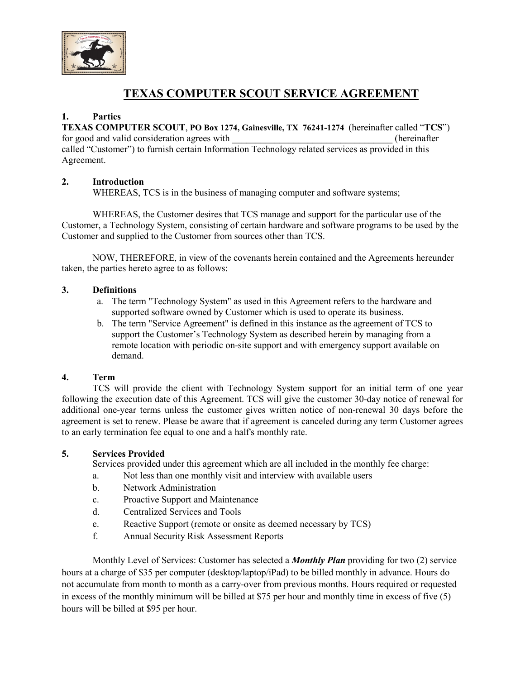

# **TEXAS COMPUTER SCOUT SERVICE AGREEMENT**

# **1. Parties**

**TEXAS COMPUTER SCOUT**, **PO Box 1274, Gainesville, TX 76241-1274** (hereinafter called "**TCS**") for good and valid consideration agrees with  $\qquad \qquad$  (hereinafter called "Customer") to furnish certain Information Technology related services as provided in this Agreement.

## **2. Introduction**

WHEREAS, TCS is in the business of managing computer and software systems;

WHEREAS, the Customer desires that TCS manage and support for the particular use of the Customer, a Technology System, consisting of certain hardware and software programs to be used by the Customer and supplied to the Customer from sources other than TCS.

NOW, THEREFORE, in view of the covenants herein contained and the Agreements hereunder taken, the parties hereto agree to as follows:

## **3. Definitions**

- a. The term "Technology System" as used in this Agreement refers to the hardware and supported software owned by Customer which is used to operate its business.
- b. The term "Service Agreement" is defined in this instance as the agreement of TCS to support the Customer's Technology System as described herein by managing from a remote location with periodic on-site support and with emergency support available on demand.

## **4. Term**

TCS will provide the client with Technology System support for an initial term of one year following the execution date of this Agreement. TCS will give the customer 30-day notice of renewal for additional one-year terms unless the customer gives written notice of non-renewal 30 days before the agreement is set to renew. Please be aware that if agreement is canceled during any term Customer agrees to an early termination fee equal to one and a half's monthly rate.

## **5. Services Provided**

Services provided under this agreement which are all included in the monthly fee charge:

- a. Not less than one monthly visit and interview with available users
- b. Network Administration
- c. Proactive Support and Maintenance
- d. Centralized Services and Tools
- e. Reactive Support (remote or onsite as deemed necessary by TCS)
- f. Annual Security Risk Assessment Reports

Monthly Level of Services: Customer has selected a *Monthly Plan* providing for two (2) service hours at a charge of \$35 per computer (desktop/laptop/iPad) to be billed monthly in advance. Hours do not accumulate from month to month as a carry-over from previous months. Hours required or requested in excess of the monthly minimum will be billed at \$75 per hour and monthly time in excess of five (5) hours will be billed at \$95 per hour.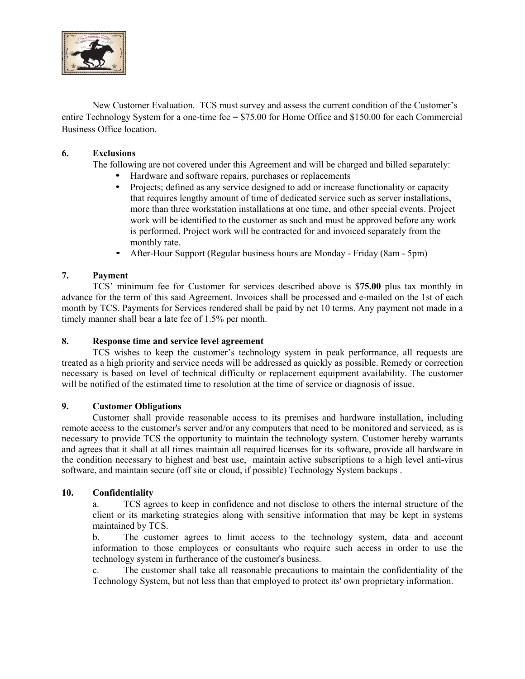

New Customer Evaluation. TCS must survey and assess the current condition of the Customer's entire Technology System for a one-time fee = \$75.00 for Home Office and \$150.00 for each Commercial Business Office location.

## **6. Exclusions**

The following are not covered under this Agreement and will be charged and billed separately:

- Hardware and software repairs, purchases or replacements<br>• Projects: defined as any service designed to add or increase
- Projects; defined as any service designed to add or increase functionality or capacity that requires lengthy amount of time of dedicated service such as server installations, more than three workstation installations at one time, and other special events. Project work will be identified to the customer as such and must be approved before any work is performed. Project work will be contracted for and invoiced separately from the monthly rate.
- After-Hour Support (Regular business hours are Monday Friday (8am 5pm)

## **7. Payment**

TCS' minimum fee for Customer for services described above is \$**75.00** plus tax monthly in advance for the term of this said Agreement. Invoices shall be processed and e-mailed on the 1st of each month by TCS. Payments for Services rendered shall be paid by net 10 terms. Any payment not made in a timely manner shall bear a late fee of 1.5% per month.

#### **8. Response time and service level agreement**

TCS wishes to keep the customer's technology system in peak performance, all requests are treated as a high priority and service needs will be addressed as quickly as possible. Remedy or correction necessary is based on level of technical difficulty or replacement equipment availability. The customer will be notified of the estimated time to resolution at the time of service or diagnosis of issue.

#### **9. Customer Obligations**

Customer shall provide reasonable access to its premises and hardware installation, including remote access to the customer's server and/or any computers that need to be monitored and serviced, as is necessary to provide TCS the opportunity to maintain the technology system. Customer hereby warrants and agrees that it shall at all times maintain all required licenses for its software, provide all hardware in the condition necessary to highest and best use, maintain active subscriptions to a high level anti-virus software, and maintain secure (off site or cloud, if possible) Technology System backups .

#### **10. Confidentiality**

a. TCS agrees to keep in confidence and not disclose to others the internal structure of the client or its marketing strategies along with sensitive information that may be kept in systems maintained by TCS.

b. The customer agrees to limit access to the technology system, data and account information to those employees or consultants who require such access in order to use the technology system in furtherance of the customer's business.

c. The customer shall take all reasonable precautions to maintain the confidentiality of the Technology System, but not less than that employed to protect its' own proprietary information.